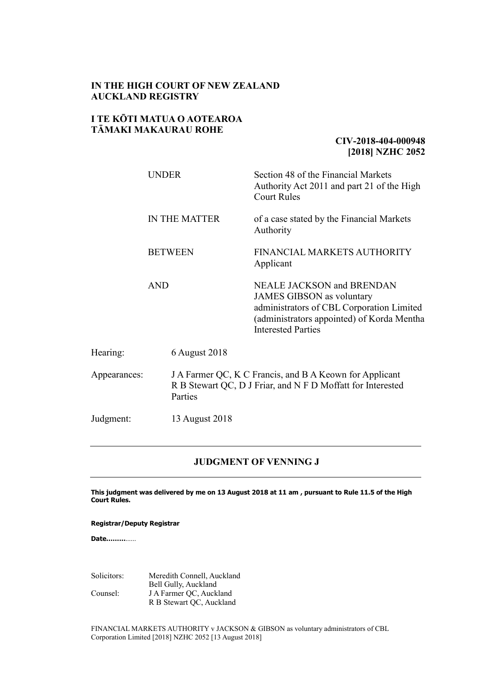### **IN THE HIGH COURT OF NEW ZEALAND AUCKLAND REGISTRY**

### **I TE KŌTI MATUA O AOTEAROA TĀMAKI MAKAURAU ROHE**

## **CIV-2018-404-000948 [2018] NZHC 2052**

|              | <b>UNDER</b><br><b>IN THE MATTER</b><br><b>BETWEEN</b><br><b>AND</b> |                | Section 48 of the Financial Markets<br>Authority Act 2011 and part 21 of the High<br><b>Court Rules</b>                                                                                      |
|--------------|----------------------------------------------------------------------|----------------|----------------------------------------------------------------------------------------------------------------------------------------------------------------------------------------------|
|              |                                                                      |                | of a case stated by the Financial Markets<br>Authority                                                                                                                                       |
|              |                                                                      |                | FINANCIAL MARKETS AUTHORITY<br>Applicant                                                                                                                                                     |
|              |                                                                      |                | <b>NEALE JACKSON and BRENDAN</b><br><b>JAMES GIBSON</b> as voluntary<br>administrators of CBL Corporation Limited<br>(administrators appointed) of Korda Mentha<br><b>Interested Parties</b> |
| Hearing:     |                                                                      | 6 August 2018  |                                                                                                                                                                                              |
| Appearances: | Parties                                                              |                | J A Farmer QC, K C Francis, and B A Keown for Applicant<br>R B Stewart QC, D J Friar, and N F D Moffatt for Interested                                                                       |
| Judgment:    |                                                                      | 13 August 2018 |                                                                                                                                                                                              |

### **JUDGMENT OF VENNING J**

**This judgment was delivered by me on 13 August 2018 at 11 am , pursuant to Rule 11.5 of the High Court Rules.**

**Registrar/Deputy Registrar**

**Date………**……

Solicitors: Meredith Connell, Auckland Bell Gully, Auckland Counsel: J A Farmer QC, Auckland R B Stewart QC, Auckland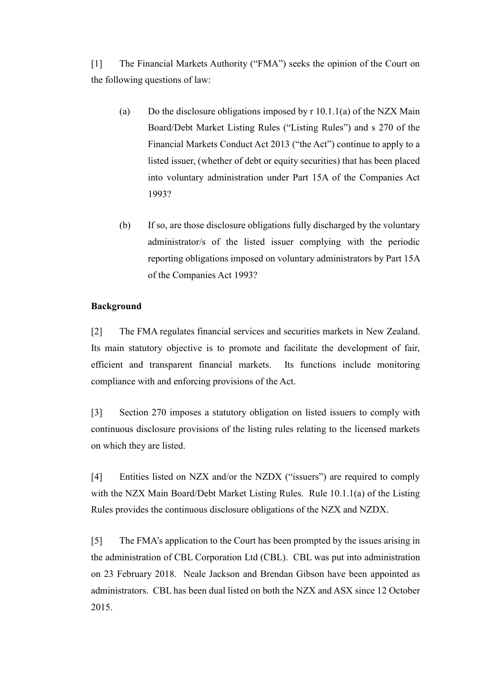[1] The Financial Markets Authority ("FMA") seeks the opinion of the Court on the following questions of law:

- (a) Do the disclosure obligations imposed by  $r 10.1.1(a)$  of the NZX Main Board/Debt Market Listing Rules ("Listing Rules") and s 270 of the Financial Markets Conduct Act 2013 ("the Act") continue to apply to a listed issuer, (whether of debt or equity securities) that has been placed into voluntary administration under Part 15A of the Companies Act 1993?
- (b) If so, are those disclosure obligations fully discharged by the voluntary administrator/s of the listed issuer complying with the periodic reporting obligations imposed on voluntary administrators by Part 15A of the Companies Act 1993?

## **Background**

[2] The FMA regulates financial services and securities markets in New Zealand. Its main statutory objective is to promote and facilitate the development of fair, efficient and transparent financial markets. Its functions include monitoring compliance with and enforcing provisions of the Act.

[3] Section 270 imposes a statutory obligation on listed issuers to comply with continuous disclosure provisions of the listing rules relating to the licensed markets on which they are listed.

[4] Entities listed on NZX and/or the NZDX ("issuers") are required to comply with the NZX Main Board/Debt Market Listing Rules. Rule 10.1.1(a) of the Listing Rules provides the continuous disclosure obligations of the NZX and NZDX.

[5] The FMA's application to the Court has been prompted by the issues arising in the administration of CBL Corporation Ltd (CBL). CBL was put into administration on 23 February 2018. Neale Jackson and Brendan Gibson have been appointed as administrators. CBL has been dual listed on both the NZX and ASX since 12 October 2015.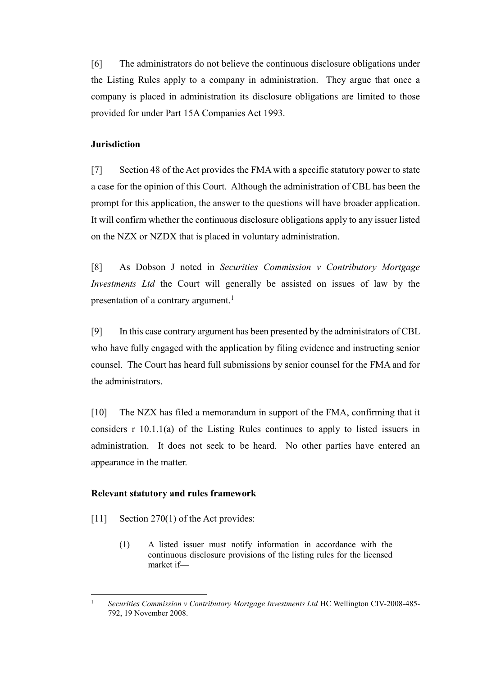[6] The administrators do not believe the continuous disclosure obligations under the Listing Rules apply to a company in administration. They argue that once a company is placed in administration its disclosure obligations are limited to those provided for under Part 15A Companies Act 1993.

## **Jurisdiction**

[7] Section 48 of the Act provides the FMA with a specific statutory power to state a case for the opinion of this Court. Although the administration of CBL has been the prompt for this application, the answer to the questions will have broader application. It will confirm whether the continuous disclosure obligations apply to any issuer listed on the NZX or NZDX that is placed in voluntary administration.

[8] As Dobson J noted in *Securities Commission v Contributory Mortgage Investments Ltd* the Court will generally be assisted on issues of law by the presentation of a contrary argument.<sup>1</sup>

[9] In this case contrary argument has been presented by the administrators of CBL who have fully engaged with the application by filing evidence and instructing senior counsel. The Court has heard full submissions by senior counsel for the FMA and for the administrators.

[10] The NZX has filed a memorandum in support of the FMA, confirming that it considers r 10.1.1(a) of the Listing Rules continues to apply to listed issuers in administration. It does not seek to be heard. No other parties have entered an appearance in the matter.

### **Relevant statutory and rules framework**

- [11] Section 270(1) of the Act provides:
	- (1) A listed issuer must notify information in accordance with the continuous disclosure provisions of the listing rules for the licensed market if—

 $\overline{1}$ <sup>1</sup> *Securities Commission v Contributory Mortgage Investments Ltd* HC Wellington CIV-2008-485- 792, 19 November 2008.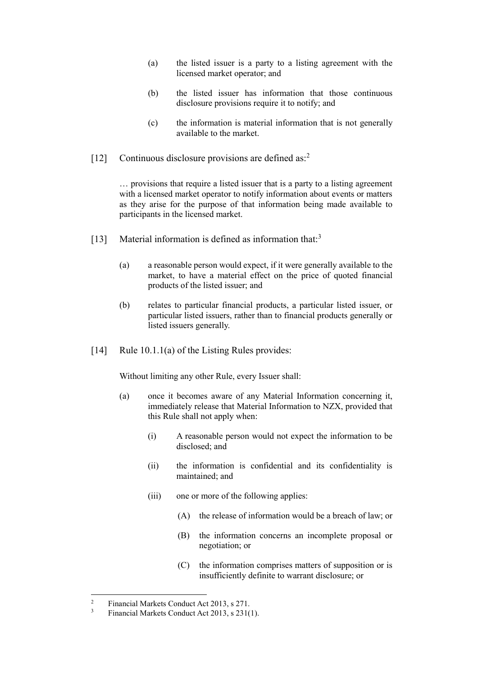- (a) the listed issuer is a party to a listing agreement with the licensed market operator; and
- (b) the listed issuer has information that those continuous disclosure provisions require it to notify; and
- (c) the information is material information that is not generally available to the market.
- [12] Continuous disclosure provisions are defined as:<sup>2</sup>

… provisions that require a listed issuer that is a party to a listing agreement with a licensed market operator to notify information about events or matters as they arise for the purpose of that information being made available to participants in the licensed market.

- [13] Material information is defined as information that:<sup>3</sup>
	- (a) a reasonable person would expect, if it were generally available to the market, to have a material effect on the price of quoted financial products of the listed issuer; and
	- (b) relates to particular financial products, a particular listed issuer, or particular listed issuers, rather than to financial products generally or listed issuers generally.
- [14] Rule 10.1.1(a) of the Listing Rules provides:

Without limiting any other Rule, every Issuer shall:

- (a) once it becomes aware of any Material Information concerning it, immediately release that Material Information to NZX, provided that this Rule shall not apply when:
	- (i) A reasonable person would not expect the information to be disclosed; and
	- (ii) the information is confidential and its confidentiality is maintained; and
	- (iii) one or more of the following applies:
		- (A) the release of information would be a breach of law; or
		- (B) the information concerns an incomplete proposal or negotiation; or
		- (C) the information comprises matters of supposition or is insufficiently definite to warrant disclosure; or

 $\sqrt{2}$ <sup>2</sup> Financial Markets Conduct Act 2013, s 271.<br><sup>3</sup> Financial Markets Conduct Act 2013, s 2316

Financial Markets Conduct Act 2013, s 231(1).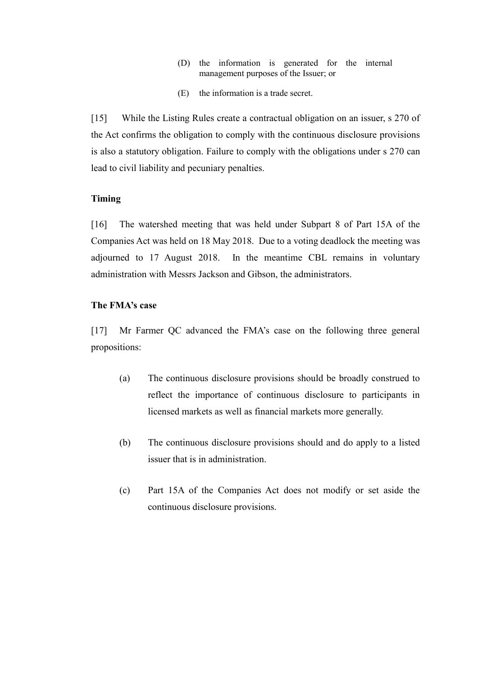- (D) the information is generated for the internal management purposes of the Issuer; or
- (E) the information is a trade secret.

[15] While the Listing Rules create a contractual obligation on an issuer, s 270 of the Act confirms the obligation to comply with the continuous disclosure provisions is also a statutory obligation. Failure to comply with the obligations under s 270 can lead to civil liability and pecuniary penalties.

## **Timing**

[16] The watershed meeting that was held under Subpart 8 of Part 15A of the Companies Act was held on 18 May 2018. Due to a voting deadlock the meeting was adjourned to 17 August 2018. In the meantime CBL remains in voluntary administration with Messrs Jackson and Gibson, the administrators.

## **The FMA's case**

[17] Mr Farmer QC advanced the FMA's case on the following three general propositions:

- (a) The continuous disclosure provisions should be broadly construed to reflect the importance of continuous disclosure to participants in licensed markets as well as financial markets more generally.
- (b) The continuous disclosure provisions should and do apply to a listed issuer that is in administration.
- (c) Part 15A of the Companies Act does not modify or set aside the continuous disclosure provisions.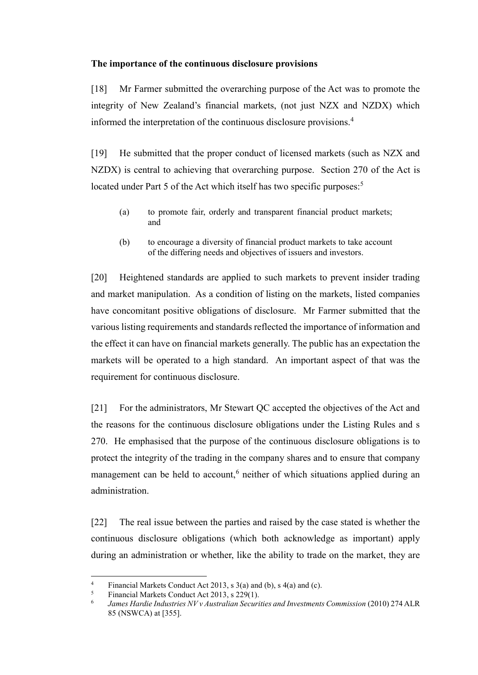## **The importance of the continuous disclosure provisions**

[18] Mr Farmer submitted the overarching purpose of the Act was to promote the integrity of New Zealand's financial markets, (not just NZX and NZDX) which informed the interpretation of the continuous disclosure provisions.<sup>4</sup>

[19] He submitted that the proper conduct of licensed markets (such as NZX and NZDX) is central to achieving that overarching purpose. Section 270 of the Act is located under Part 5 of the Act which itself has two specific purposes.<sup>5</sup>

- (a) to promote fair, orderly and transparent financial product markets; and
- (b) to encourage a diversity of financial product markets to take account of the differing needs and objectives of issuers and investors.

[20] Heightened standards are applied to such markets to prevent insider trading and market manipulation. As a condition of listing on the markets, listed companies have concomitant positive obligations of disclosure. Mr Farmer submitted that the various listing requirements and standards reflected the importance of information and the effect it can have on financial markets generally. The public has an expectation the markets will be operated to a high standard. An important aspect of that was the requirement for continuous disclosure.

[21] For the administrators, Mr Stewart QC accepted the objectives of the Act and the reasons for the continuous disclosure obligations under the Listing Rules and s 270. He emphasised that the purpose of the continuous disclosure obligations is to protect the integrity of the trading in the company shares and to ensure that company management can be held to account,<sup>6</sup> neither of which situations applied during an administration.

[22] The real issue between the parties and raised by the case stated is whether the continuous disclosure obligations (which both acknowledge as important) apply during an administration or whether, like the ability to trade on the market, they are

<sup>&</sup>lt;sup>4</sup> Financial Markets Conduct Act 2013, s 3(a) and (b), s 4(a) and (c).<br> **6** Financial Markets Conduct Act 2013, s 220(1)

<sup>5</sup> Financial Markets Conduct Act 2013, s 229(1).

<sup>6</sup> James Hardie Industries NV v Australian Securities and Investments Commission (2010) 274 ALR 85 (NSWCA) at [355].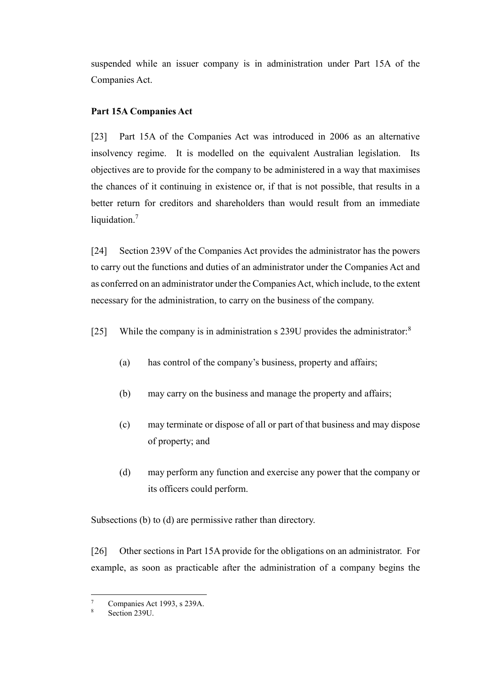suspended while an issuer company is in administration under Part 15A of the Companies Act.

# **Part 15A Companies Act**

[23] Part 15A of the Companies Act was introduced in 2006 as an alternative insolvency regime. It is modelled on the equivalent Australian legislation. Its objectives are to provide for the company to be administered in a way that maximises the chances of it continuing in existence or, if that is not possible, that results in a better return for creditors and shareholders than would result from an immediate liquidation.<sup>7</sup>

[24] Section 239V of the Companies Act provides the administrator has the powers to carry out the functions and duties of an administrator under the Companies Act and as conferred on an administrator under the Companies Act, which include, to the extent necessary for the administration, to carry on the business of the company.

[25] While the company is in administration s 239U provides the administrator:<sup>8</sup>

- (a) has control of the company's business, property and affairs;
- (b) may carry on the business and manage the property and affairs;
- (c) may terminate or dispose of all or part of that business and may dispose of property; and
- (d) may perform any function and exercise any power that the company or its officers could perform.

Subsections (b) to (d) are permissive rather than directory.

[26] Other sections in Part 15A provide for the obligations on an administrator. For example, as soon as practicable after the administration of a company begins the

 $\boldsymbol{7}$ Companies Act 1993, s 239A.

Section 239U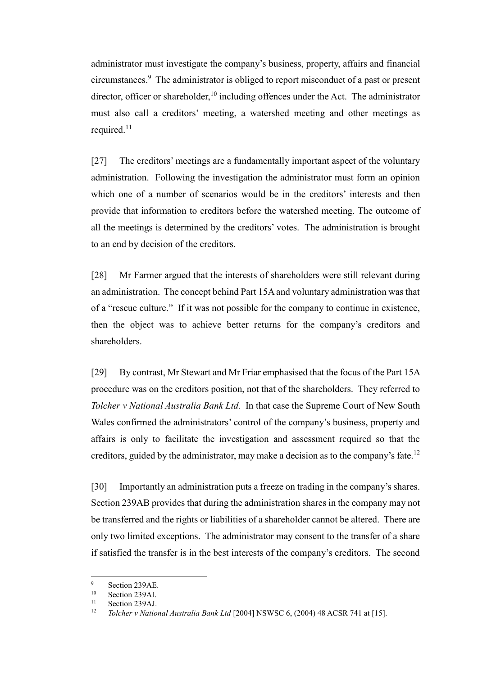administrator must investigate the company's business, property, affairs and financial circumstances. 9 The administrator is obliged to report misconduct of a past or present director, officer or shareholder,  $10$  including offences under the Act. The administrator must also call a creditors' meeting, a watershed meeting and other meetings as required.<sup>11</sup>

[27] The creditors' meetings are a fundamentally important aspect of the voluntary administration. Following the investigation the administrator must form an opinion which one of a number of scenarios would be in the creditors' interests and then provide that information to creditors before the watershed meeting. The outcome of all the meetings is determined by the creditors' votes. The administration is brought to an end by decision of the creditors.

[28] Mr Farmer argued that the interests of shareholders were still relevant during an administration. The concept behind Part 15A and voluntary administration was that of a "rescue culture." If it was not possible for the company to continue in existence, then the object was to achieve better returns for the company's creditors and shareholders.

[29] By contrast, Mr Stewart and Mr Friar emphasised that the focus of the Part 15A procedure was on the creditors position, not that of the shareholders. They referred to *Tolcher v National Australia Bank Ltd.* In that case the Supreme Court of New South Wales confirmed the administrators' control of the company's business, property and affairs is only to facilitate the investigation and assessment required so that the creditors, guided by the administrator, may make a decision as to the company's fate.<sup>12</sup>

[30] Importantly an administration puts a freeze on trading in the company's shares. Section 239AB provides that during the administration shares in the company may not be transferred and the rights or liabilities of a shareholder cannot be altered. There are only two limited exceptions. The administrator may consent to the transfer of a share if satisfied the transfer is in the best interests of the company's creditors. The second

 $\frac{9}{10}$  Section 239AE.

 $^{10}$  Section 239AI.

<sup>&</sup>lt;sup>11</sup> Section 239AJ.<br> $\frac{12}{\text{L}_2}$  Tolebox v Natio

<sup>12</sup> *Tolcher v National Australia Bank Ltd* [2004] NSWSC 6, (2004) 48 ACSR 741 at [15].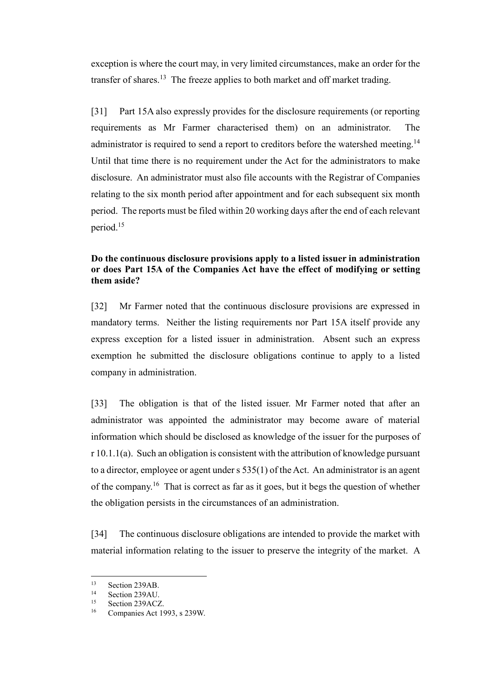exception is where the court may, in very limited circumstances, make an order for the transfer of shares.<sup>13</sup> The freeze applies to both market and off market trading.

[31] Part 15A also expressly provides for the disclosure requirements (or reporting requirements as Mr Farmer characterised them) on an administrator. The administrator is required to send a report to creditors before the watershed meeting.<sup>14</sup> Until that time there is no requirement under the Act for the administrators to make disclosure. An administrator must also file accounts with the Registrar of Companies relating to the six month period after appointment and for each subsequent six month period. The reports must be filed within 20 working days after the end of each relevant period.<sup>15</sup>

## **Do the continuous disclosure provisions apply to a listed issuer in administration or does Part 15A of the Companies Act have the effect of modifying or setting them aside?**

[32] Mr Farmer noted that the continuous disclosure provisions are expressed in mandatory terms. Neither the listing requirements nor Part 15A itself provide any express exception for a listed issuer in administration. Absent such an express exemption he submitted the disclosure obligations continue to apply to a listed company in administration.

[33] The obligation is that of the listed issuer. Mr Farmer noted that after an administrator was appointed the administrator may become aware of material information which should be disclosed as knowledge of the issuer for the purposes of r 10.1.1(a). Such an obligation is consistent with the attribution of knowledge pursuant to a director, employee or agent under s 535(1) of the Act. An administrator is an agent of the company.<sup>16</sup> That is correct as far as it goes, but it begs the question of whether the obligation persists in the circumstances of an administration.

[34] The continuous disclosure obligations are intended to provide the market with material information relating to the issuer to preserve the integrity of the market. A

 $13$  Section 239AB.

 $14$  Section 239AU.

<sup>&</sup>lt;sup>15</sup> Section 239ACZ.

Companies Act 1993, s 239W.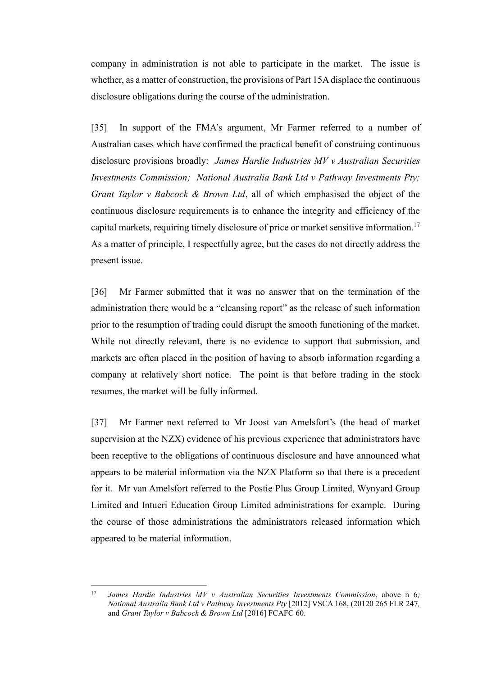company in administration is not able to participate in the market. The issue is whether, as a matter of construction, the provisions of Part 15A displace the continuous disclosure obligations during the course of the administration.

[35] In support of the FMA's argument, Mr Farmer referred to a number of Australian cases which have confirmed the practical benefit of construing continuous disclosure provisions broadly: *James Hardie Industries MV v Australian Securities Investments Commission; National Australia Bank Ltd v Pathway Investments Pty; Grant Taylor v Babcock & Brown Ltd*, all of which emphasised the object of the continuous disclosure requirements is to enhance the integrity and efficiency of the capital markets, requiring timely disclosure of price or market sensitive information. 17 As a matter of principle, I respectfully agree, but the cases do not directly address the present issue.

[36] Mr Farmer submitted that it was no answer that on the termination of the administration there would be a "cleansing report" as the release of such information prior to the resumption of trading could disrupt the smooth functioning of the market. While not directly relevant, there is no evidence to support that submission, and markets are often placed in the position of having to absorb information regarding a company at relatively short notice. The point is that before trading in the stock resumes, the market will be fully informed.

[37] Mr Farmer next referred to Mr Joost van Amelsfort's (the head of market supervision at the NZX) evidence of his previous experience that administrators have been receptive to the obligations of continuous disclosure and have announced what appears to be material information via the NZX Platform so that there is a precedent for it. Mr van Amelsfort referred to the Postie Plus Group Limited, Wynyard Group Limited and Intueri Education Group Limited administrations for example. During the course of those administrations the administrators released information which appeared to be material information.

 $17$ <sup>17</sup> *James Hardie Industries MV v Australian Securities Investments Commission*, above n 6*; National Australia Bank Ltd v Pathway Investments Pty* [2012] VSCA 168, (20120 265 FLR 247*,*  and *Grant Taylor v Babcock & Brown Ltd* [2016] FCAFC 60.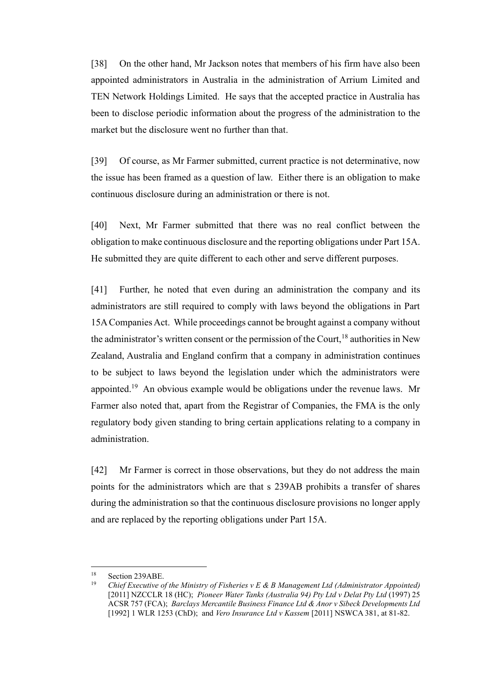[38] On the other hand, Mr Jackson notes that members of his firm have also been appointed administrators in Australia in the administration of Arrium Limited and TEN Network Holdings Limited. He says that the accepted practice in Australia has been to disclose periodic information about the progress of the administration to the market but the disclosure went no further than that.

[39] Of course, as Mr Farmer submitted, current practice is not determinative, now the issue has been framed as a question of law. Either there is an obligation to make continuous disclosure during an administration or there is not.

[40] Next, Mr Farmer submitted that there was no real conflict between the obligation to make continuous disclosure and the reporting obligations under Part 15A. He submitted they are quite different to each other and serve different purposes.

[41] Further, he noted that even during an administration the company and its administrators are still required to comply with laws beyond the obligations in Part 15A Companies Act. While proceedings cannot be brought against a company without the administrator's written consent or the permission of the Court,  $^{18}$  authorities in New Zealand, Australia and England confirm that a company in administration continues to be subject to laws beyond the legislation under which the administrators were appointed.<sup>19</sup> An obvious example would be obligations under the revenue laws. Mr Farmer also noted that, apart from the Registrar of Companies, the FMA is the only regulatory body given standing to bring certain applications relating to a company in administration.

[42] Mr Farmer is correct in those observations, but they do not address the main points for the administrators which are that s 239AB prohibits a transfer of shares during the administration so that the continuous disclosure provisions no longer apply and are replaced by the reporting obligations under Part 15A.

<sup>18</sup> <sup>18</sup> Section 239ABE.<br><sup>19</sup> Chief Executive 2

<sup>19</sup> *Chief Executive of the Ministry of Fisheries v E & B Management Ltd (Administrator Appointed)* [2011] NZCCLR 18 (HC); *Pioneer Water Tanks (Australia 94) Pty Ltd v Delat Pty Ltd* (1997) 25 ACSR 757 (FCA); *Barclays Mercantile Business Finance Ltd & Anor v Sibeck Developments Ltd*  [1992] 1 WLR 1253 (ChD); and *Vero Insurance Ltd v Kassem* [2011] NSWCA 381, at 81-82.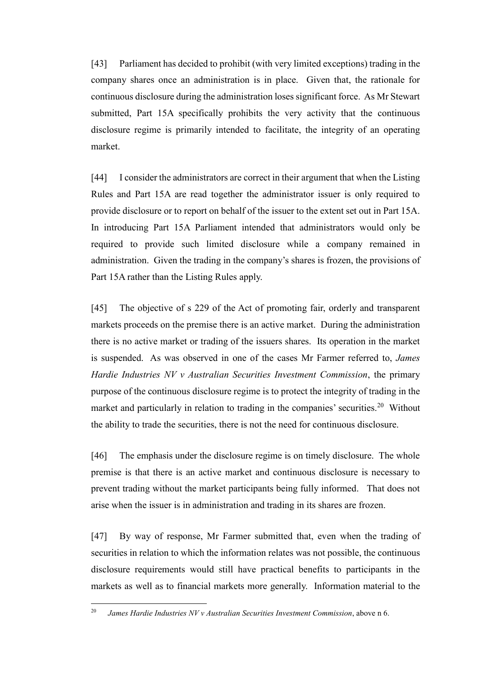[43] Parliament has decided to prohibit (with very limited exceptions) trading in the company shares once an administration is in place. Given that, the rationale for continuous disclosure during the administration loses significant force. As Mr Stewart submitted, Part 15A specifically prohibits the very activity that the continuous disclosure regime is primarily intended to facilitate, the integrity of an operating market.

[44] I consider the administrators are correct in their argument that when the Listing Rules and Part 15A are read together the administrator issuer is only required to provide disclosure or to report on behalf of the issuer to the extent set out in Part 15A. In introducing Part 15A Parliament intended that administrators would only be required to provide such limited disclosure while a company remained in administration. Given the trading in the company's shares is frozen, the provisions of Part 15A rather than the Listing Rules apply.

[45] The objective of s 229 of the Act of promoting fair, orderly and transparent markets proceeds on the premise there is an active market. During the administration there is no active market or trading of the issuers shares. Its operation in the market is suspended. As was observed in one of the cases Mr Farmer referred to, *James Hardie Industries NV v Australian Securities Investment Commission*, the primary purpose of the continuous disclosure regime is to protect the integrity of trading in the market and particularly in relation to trading in the companies' securities.<sup>20</sup> Without the ability to trade the securities, there is not the need for continuous disclosure.

[46] The emphasis under the disclosure regime is on timely disclosure. The whole premise is that there is an active market and continuous disclosure is necessary to prevent trading without the market participants being fully informed. That does not arise when the issuer is in administration and trading in its shares are frozen.

[47] By way of response, Mr Farmer submitted that, even when the trading of securities in relation to which the information relates was not possible, the continuous disclosure requirements would still have practical benefits to participants in the markets as well as to financial markets more generally. Information material to the

<sup>20</sup> *James Hardie Industries NV v Australian Securities Investment Commission*, above n 6.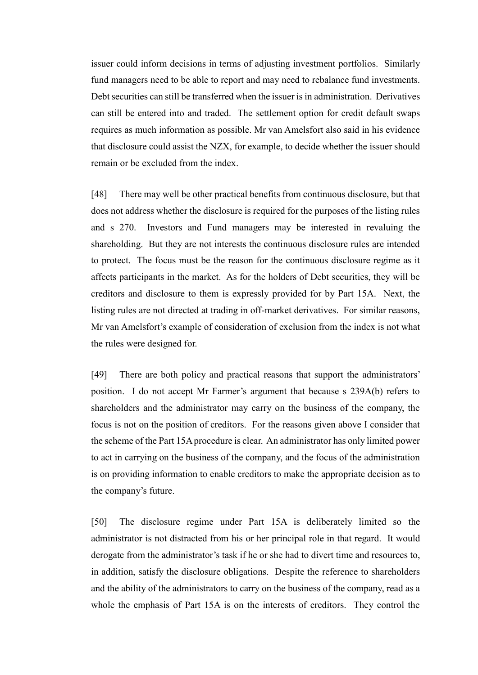issuer could inform decisions in terms of adjusting investment portfolios. Similarly fund managers need to be able to report and may need to rebalance fund investments. Debt securities can still be transferred when the issuer is in administration. Derivatives can still be entered into and traded. The settlement option for credit default swaps requires as much information as possible. Mr van Amelsfort also said in his evidence that disclosure could assist the NZX, for example, to decide whether the issuer should remain or be excluded from the index.

[48] There may well be other practical benefits from continuous disclosure, but that does not address whether the disclosure is required for the purposes of the listing rules and s 270. Investors and Fund managers may be interested in revaluing the shareholding. But they are not interests the continuous disclosure rules are intended to protect. The focus must be the reason for the continuous disclosure regime as it affects participants in the market. As for the holders of Debt securities, they will be creditors and disclosure to them is expressly provided for by Part 15A. Next, the listing rules are not directed at trading in off-market derivatives. For similar reasons, Mr van Amelsfort's example of consideration of exclusion from the index is not what the rules were designed for.

[49] There are both policy and practical reasons that support the administrators' position. I do not accept Mr Farmer's argument that because s 239A(b) refers to shareholders and the administrator may carry on the business of the company, the focus is not on the position of creditors. For the reasons given above I consider that the scheme of the Part 15A procedure is clear. An administrator has only limited power to act in carrying on the business of the company, and the focus of the administration is on providing information to enable creditors to make the appropriate decision as to the company's future.

[50] The disclosure regime under Part 15A is deliberately limited so the administrator is not distracted from his or her principal role in that regard. It would derogate from the administrator's task if he or she had to divert time and resources to, in addition, satisfy the disclosure obligations. Despite the reference to shareholders and the ability of the administrators to carry on the business of the company, read as a whole the emphasis of Part 15A is on the interests of creditors. They control the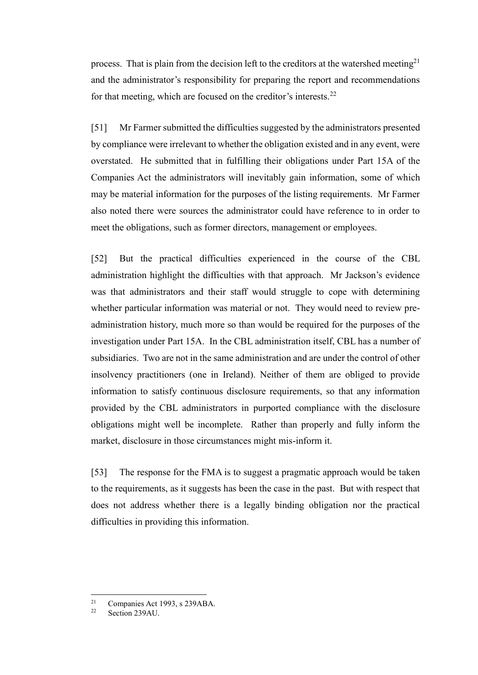process. That is plain from the decision left to the creditors at the watershed meeting<sup>21</sup> and the administrator's responsibility for preparing the report and recommendations for that meeting, which are focused on the creditor's interests.<sup>22</sup>

[51] Mr Farmer submitted the difficulties suggested by the administrators presented by compliance were irrelevant to whether the obligation existed and in any event, were overstated. He submitted that in fulfilling their obligations under Part 15A of the Companies Act the administrators will inevitably gain information, some of which may be material information for the purposes of the listing requirements. Mr Farmer also noted there were sources the administrator could have reference to in order to meet the obligations, such as former directors, management or employees.

[52] But the practical difficulties experienced in the course of the CBL administration highlight the difficulties with that approach. Mr Jackson's evidence was that administrators and their staff would struggle to cope with determining whether particular information was material or not. They would need to review preadministration history, much more so than would be required for the purposes of the investigation under Part 15A. In the CBL administration itself, CBL has a number of subsidiaries. Two are not in the same administration and are under the control of other insolvency practitioners (one in Ireland). Neither of them are obliged to provide information to satisfy continuous disclosure requirements, so that any information provided by the CBL administrators in purported compliance with the disclosure obligations might well be incomplete. Rather than properly and fully inform the market, disclosure in those circumstances might mis-inform it.

[53] The response for the FMA is to suggest a pragmatic approach would be taken to the requirements, as it suggests has been the case in the past. But with respect that does not address whether there is a legally binding obligation nor the practical difficulties in providing this information.

 $21$ <sup>21</sup> Companies Act 1993, s 239ABA.<br><sup>22</sup> Soction 230ALL

Section 239AU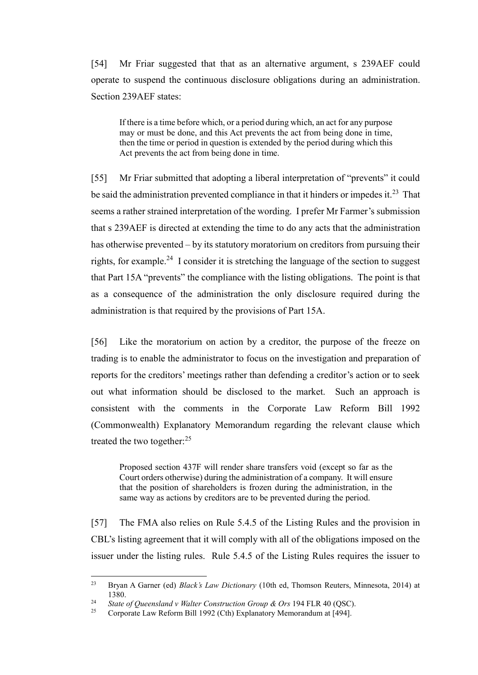[54] Mr Friar suggested that that as an alternative argument, s 239AEF could operate to suspend the continuous disclosure obligations during an administration. Section 239AEF states:

If there is a time before which, or a period during which, an act for any purpose may or must be done, and this Act prevents the act from being done in time, then the time or period in question is extended by the period during which this Act prevents the act from being done in time.

[55] Mr Friar submitted that adopting a liberal interpretation of "prevents" it could be said the administration prevented compliance in that it hinders or impedes it.<sup>23</sup> That seems a rather strained interpretation of the wording. I prefer Mr Farmer's submission that s 239AEF is directed at extending the time to do any acts that the administration has otherwise prevented – by its statutory moratorium on creditors from pursuing their rights, for example.<sup>24</sup> I consider it is stretching the language of the section to suggest that Part 15A "prevents" the compliance with the listing obligations. The point is that as a consequence of the administration the only disclosure required during the administration is that required by the provisions of Part 15A.

[56] Like the moratorium on action by a creditor, the purpose of the freeze on trading is to enable the administrator to focus on the investigation and preparation of reports for the creditors' meetings rather than defending a creditor's action or to seek out what information should be disclosed to the market. Such an approach is consistent with the comments in the Corporate Law Reform Bill 1992 (Commonwealth) Explanatory Memorandum regarding the relevant clause which treated the two together:<sup>25</sup>

Proposed section 437F will render share transfers void (except so far as the Court orders otherwise) during the administration of a company. It will ensure that the position of shareholders is frozen during the administration, in the same way as actions by creditors are to be prevented during the period.

[57] The FMA also relies on Rule 5.4.5 of the Listing Rules and the provision in CBL's listing agreement that it will comply with all of the obligations imposed on the issuer under the listing rules. Rule 5.4.5 of the Listing Rules requires the issuer to

<sup>23</sup> Bryan A Garner (ed) *Black's Law Dictionary* (10th ed, Thomson Reuters, Minnesota, 2014) at 1380.

<sup>24</sup> *State of Queensland v Walter Construction Group & Ors* 194 FLR 40 (QSC).

Corporate Law Reform Bill 1992 (Cth) Explanatory Memorandum at [494].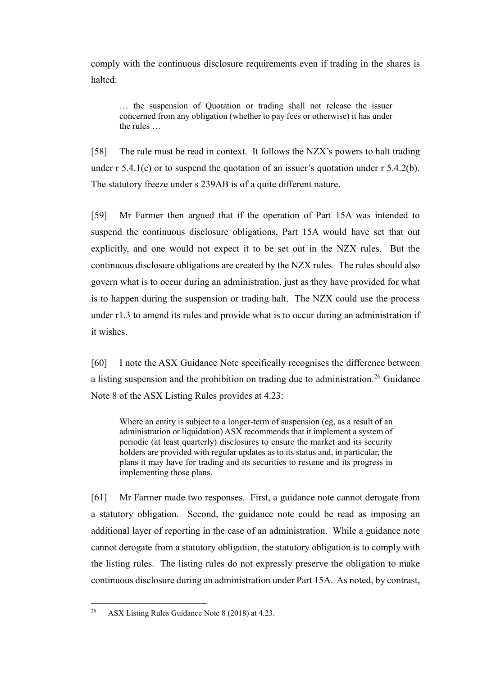comply with the continuous disclosure requirements even if trading in the shares is halted:

… the suspension of Quotation or trading shall not release the issuer concerned from any obligation (whether to pay fees or otherwise) it has under the rules …

[58] The rule must be read in context. It follows the NZX's powers to halt trading under  $r$  5.4.1(c) or to suspend the quotation of an issuer's quotation under  $r$  5.4.2(b). The statutory freeze under s 239AB is of a quite different nature.

[59] Mr Farmer then argued that if the operation of Part 15A was intended to suspend the continuous disclosure obligations, Part 15A would have set that out explicitly, and one would not expect it to be set out in the NZX rules. But the continuous disclosure obligations are created by the NZX rules. The rules should also govern what is to occur during an administration, just as they have provided for what is to happen during the suspension or trading halt. The NZX could use the process under r1.3 to amend its rules and provide what is to occur during an administration if it wishes.

[60] I note the ASX Guidance Note specifically recognises the difference between a listing suspension and the prohibition on trading due to administration.<sup>26</sup> Guidance Note 8 of the ASX Listing Rules provides at 4.23:

Where an entity is subject to a longer-term of suspension (eg, as a result of an administration or liquidation) ASX recommends that it implement a system of periodic (at least quarterly) disclosures to ensure the market and its security holders are provided with regular updates as to its status and, in particular, the plans it may have for trading and its securities to resume and its progress in implementing those plans.

[61] Mr Farmer made two responses. First, a guidance note cannot derogate from a statutory obligation. Second, the guidance note could be read as imposing an additional layer of reporting in the case of an administration. While a guidance note cannot derogate from a statutory obligation, the statutory obligation is to comply with the listing rules. The listing rules do not expressly preserve the obligation to make continuous disclosure during an administration under Part 15A. As noted, by contrast,

<sup>26</sup> ASX Listing Rules Guidance Note 8 (2018) at 4.23.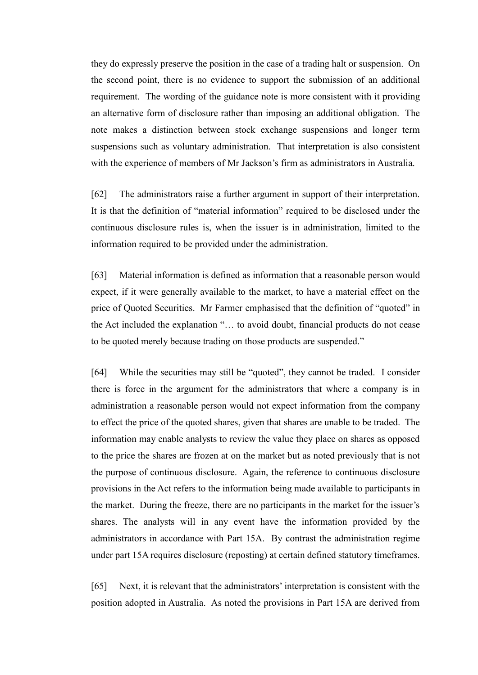they do expressly preserve the position in the case of a trading halt or suspension. On the second point, there is no evidence to support the submission of an additional requirement. The wording of the guidance note is more consistent with it providing an alternative form of disclosure rather than imposing an additional obligation. The note makes a distinction between stock exchange suspensions and longer term suspensions such as voluntary administration. That interpretation is also consistent with the experience of members of Mr Jackson's firm as administrators in Australia.

[62] The administrators raise a further argument in support of their interpretation. It is that the definition of "material information" required to be disclosed under the continuous disclosure rules is, when the issuer is in administration, limited to the information required to be provided under the administration.

[63] Material information is defined as information that a reasonable person would expect, if it were generally available to the market, to have a material effect on the price of Quoted Securities. Mr Farmer emphasised that the definition of "quoted" in the Act included the explanation "… to avoid doubt, financial products do not cease to be quoted merely because trading on those products are suspended."

[64] While the securities may still be "quoted", they cannot be traded. I consider there is force in the argument for the administrators that where a company is in administration a reasonable person would not expect information from the company to effect the price of the quoted shares, given that shares are unable to be traded. The information may enable analysts to review the value they place on shares as opposed to the price the shares are frozen at on the market but as noted previously that is not the purpose of continuous disclosure. Again, the reference to continuous disclosure provisions in the Act refers to the information being made available to participants in the market. During the freeze, there are no participants in the market for the issuer's shares. The analysts will in any event have the information provided by the administrators in accordance with Part 15A. By contrast the administration regime under part 15A requires disclosure (reposting) at certain defined statutory timeframes.

[65] Next, it is relevant that the administrators' interpretation is consistent with the position adopted in Australia. As noted the provisions in Part 15A are derived from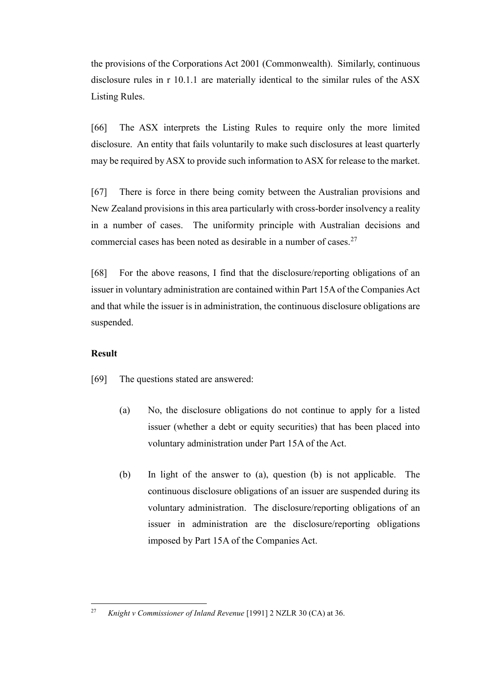the provisions of the Corporations Act 2001 (Commonwealth). Similarly, continuous disclosure rules in r 10.1.1 are materially identical to the similar rules of the ASX Listing Rules.

[66] The ASX interprets the Listing Rules to require only the more limited disclosure. An entity that fails voluntarily to make such disclosures at least quarterly may be required by ASX to provide such information to ASX for release to the market.

[67] There is force in there being comity between the Australian provisions and New Zealand provisions in this area particularly with cross-border insolvency a reality in a number of cases. The uniformity principle with Australian decisions and commercial cases has been noted as desirable in a number of cases.  $27$ 

[68] For the above reasons, I find that the disclosure/reporting obligations of an issuer in voluntary administration are contained within Part 15A of the Companies Act and that while the issuer is in administration, the continuous disclosure obligations are suspended.

### **Result**

[69] The questions stated are answered:

- (a) No, the disclosure obligations do not continue to apply for a listed issuer (whether a debt or equity securities) that has been placed into voluntary administration under Part 15A of the Act.
- (b) In light of the answer to (a), question (b) is not applicable. The continuous disclosure obligations of an issuer are suspended during its voluntary administration. The disclosure/reporting obligations of an issuer in administration are the disclosure/reporting obligations imposed by Part 15A of the Companies Act.

 $\overline{a}$ <sup>27</sup> *Knight v Commissioner of Inland Revenue* [1991] 2 NZLR 30 (CA) at 36.